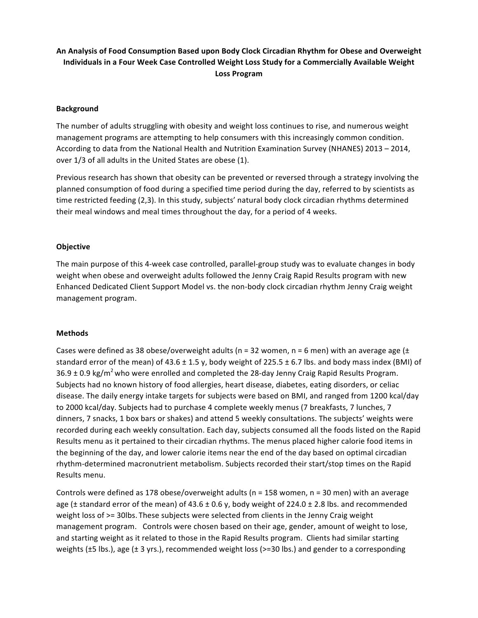# An Analysis of Food Consumption Based upon Body Clock Circadian Rhythm for Obese and Overweight **Individuals in a Four Week Case Controlled Weight Loss Study for a Commercially Available Weight Loss Program**

### **Background**

The number of adults struggling with obesity and weight loss continues to rise, and numerous weight management programs are attempting to help consumers with this increasingly common condition. According to data from the National Health and Nutrition Examination Survey (NHANES) 2013 - 2014, over 1/3 of all adults in the United States are obese (1).

Previous research has shown that obesity can be prevented or reversed through a strategy involving the planned consumption of food during a specified time period during the day, referred to by scientists as time restricted feeding (2,3). In this study, subjects' natural body clock circadian rhythms determined their meal windows and meal times throughout the day, for a period of 4 weeks.

### **Objective**

The main purpose of this 4-week case controlled, parallel-group study was to evaluate changes in body weight when obese and overweight adults followed the Jenny Craig Rapid Results program with new Enhanced Dedicated Client Support Model vs. the non-body clock circadian rhythm Jenny Craig weight management program.

#### **Methods**

Cases were defined as 38 obese/overweight adults (n = 32 women, n = 6 men) with an average age ( $\pm$ standard error of the mean) of 43.6  $\pm$  1.5 y, body weight of 225.5  $\pm$  6.7 lbs. and body mass index (BMI) of  $36.9 \pm 0.9 \text{ kg/m}^2$  who were enrolled and completed the 28-day Jenny Craig Rapid Results Program. Subjects had no known history of food allergies, heart disease, diabetes, eating disorders, or celiac disease. The daily energy intake targets for subjects were based on BMI, and ranged from 1200 kcal/day to 2000 kcal/day. Subjects had to purchase 4 complete weekly menus (7 breakfasts, 7 lunches, 7 dinners, 7 snacks, 1 box bars or shakes) and attend 5 weekly consultations. The subjects' weights were recorded during each weekly consultation. Each day, subjects consumed all the foods listed on the Rapid Results menu as it pertained to their circadian rhythms. The menus placed higher calorie food items in the beginning of the day, and lower calorie items near the end of the day based on optimal circadian rhythm-determined macronutrient metabolism. Subjects recorded their start/stop times on the Rapid Results menu.

Controls were defined as 178 obese/overweight adults ( $n = 158$  women,  $n = 30$  men) with an average age ( $\pm$  standard error of the mean) of 43.6  $\pm$  0.6 y, body weight of 224.0  $\pm$  2.8 lbs. and recommended weight loss of  $>=$  30lbs. These subjects were selected from clients in the Jenny Craig weight management program. Controls were chosen based on their age, gender, amount of weight to lose, and starting weight as it related to those in the Rapid Results program. Clients had similar starting weights  $(\pm 5$  lbs.), age  $(\pm 3 \text{ yrs.})$ , recommended weight loss (>=30 lbs.) and gender to a corresponding